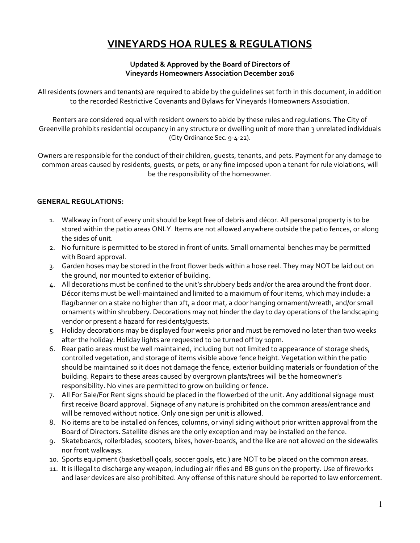# **VINEYARDS HOA RULES & REGULATIONS**

#### **Updated & Approved by the Board of Directors of Vineyards Homeowners Association December 2016**

All residents (owners and tenants) are required to abide by the guidelines set forth in this document, in addition to the recorded Restrictive Covenants and Bylaws for Vineyards Homeowners Association.

Renters are considered equal with resident owners to abide by these rules and regulations. The City of Greenville prohibits residential occupancy in any structure or dwelling unit of more than 3 unrelated individuals (City Ordinance Sec. 9‐4‐22).

Owners are responsible for the conduct of their children, guests, tenants, and pets. Payment for any damage to common areas caused by residents, guests, or pets, or any fine imposed upon a tenant for rule violations, will be the responsibility of the homeowner.

#### **GENERAL REGULATIONS:**

- 1. Walkway in front of every unit should be kept free of debris and décor. All personal property is to be stored within the patio areas ONLY. Items are not allowed anywhere outside the patio fences, or along the sides of unit.
- 2. No furniture is permitted to be stored in front of units. Small ornamental benches may be permitted with Board approval.
- 3. Garden hoses may be stored in the front flower beds within a hose reel. They may NOT be laid out on the ground, nor mounted to exterior of building.
- 4. All decorations must be confined to the unit's shrubbery beds and/or the area around the front door. Décor items must be well-maintained and limited to a maximum of four items, which may include: a flag/banner on a stake no higher than 2ft, a door mat, a door hanging ornament/wreath, and/or small ornaments within shrubbery. Decorations may not hinder the day to day operations of the landscaping vendor or present a hazard for residents/guests.
- 5. Holiday decorations may be displayed four weeks prior and must be removed no later than two weeks after the holiday. Holiday lights are requested to be turned off by 10pm.
- 6. Rear patio areas must be well maintained, including but not limited to appearance of storage sheds, controlled vegetation, and storage of items visible above fence height. Vegetation within the patio should be maintained so it does not damage the fence, exterior building materials or foundation of the building. Repairs to these areas caused by overgrown plants/trees will be the homeowner's responsibility. No vines are permitted to grow on building or fence.
- 7. All For Sale/For Rent signs should be placed in the flowerbed of the unit. Any additional signage must first receive Board approval. Signage of any nature is prohibited on the common areas/entrance and will be removed without notice. Only one sign per unit is allowed.
- 8. No items are to be installed on fences, columns, or vinyl siding without prior written approval from the Board of Directors. Satellite dishes are the only exception and may be installed on the fence.
- 9. Skateboards, rollerblades, scooters, bikes, hover‐boards, and the like are not allowed on the sidewalks nor front walkways.
- 10. Sports equipment (basketball goals, soccer goals, etc.) are NOT to be placed on the common areas.
- 11. It is illegal to discharge any weapon, including air rifles and BB guns on the property. Use of fireworks and laser devices are also prohibited. Any offense of this nature should be reported to law enforcement.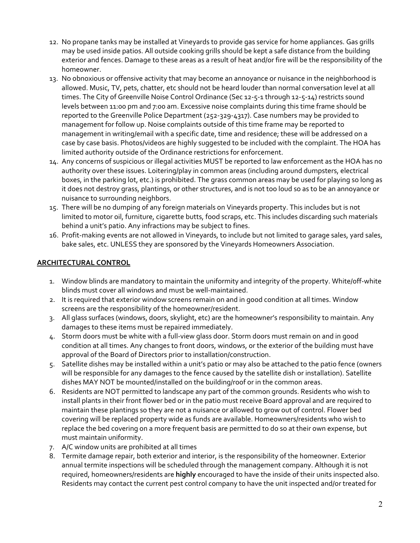- 12. No propane tanks may be installed at Vineyards to provide gas service for home appliances. Gas grills may be used inside patios. All outside cooking grills should be kept a safe distance from the building exterior and fences. Damage to these areas as a result of heat and/or fire will be the responsibility of the homeowner.
- 13. No obnoxious or offensive activity that may become an annoyance or nuisance in the neighborhood is allowed. Music, TV, pets, chatter, etc should not be heard louder than normal conversation level at all times. The City of Greenville Noise Control Ordinance (Sec 12-5-1 through 12-5-14) restricts sound levels between 11:00 pm and 7:00 am. Excessive noise complaints during this time frame should be reported to the Greenville Police Department (252‐329‐4317). Case numbers may be provided to management for follow up. Noise complaints outside of this time frame may be reported to management in writing/email with a specific date, time and residence; these will be addressed on a case by case basis. Photos/videos are highly suggested to be included with the complaint. The HOA has limited authority outside of the Ordinance restrictions for enforcement.
- 14. Any concerns of suspicious or illegal activities MUST be reported to law enforcement as the HOA has no authority over these issues. Loitering/play in common areas (including around dumpsters, electrical boxes, in the parking lot, etc.) is prohibited. The grass common areas may be used for playing so long as it does not destroy grass, plantings, or other structures, and is not too loud so as to be an annoyance or nuisance to surrounding neighbors.
- 15. There will be no dumping of any foreign materials on Vineyards property. This includes but is not limited to motor oil, furniture, cigarette butts, food scraps, etc. This includes discarding such materials behind a unit's patio. Any infractions may be subject to fines.
- 16. Profit‐making events are not allowed in Vineyards, to include but not limited to garage sales, yard sales, bake sales, etc. UNLESS they are sponsored by the Vineyards Homeowners Association.

#### **ARCHITECTURAL CONTROL**

- 1. Window blinds are mandatory to maintain the uniformity and integrity of the property. White/off-white blinds must cover all windows and must be well‐maintained.
- 2. It is required that exterior window screens remain on and in good condition at all times. Window screens are the responsibility of the homeowner/resident.
- 3. All glass surfaces (windows, doors, skylight, etc) are the homeowner's responsibility to maintain. Any damages to these items must be repaired immediately.
- 4. Storm doors must be white with a full‐view glass door. Storm doors must remain on and in good condition at all times. Any changes to front doors, windows, or the exterior of the building must have approval of the Board of Directors prior to installation/construction.
- 5. Satellite dishes may be installed within a unit's patio or may also be attached to the patio fence (owners will be responsible for any damages to the fence caused by the satellite dish or installation). Satellite dishes MAY NOT be mounted/installed on the building/roof or in the common areas.
- 6. Residents are NOT permitted to landscape any part of the common grounds. Residents who wish to install plants in their front flower bed or in the patio must receive Board approval and are required to maintain these plantings so they are not a nuisance or allowed to grow out of control. Flower bed covering will be replaced property wide as funds are available. Homeowners/residents who wish to replace the bed covering on a more frequent basis are permitted to do so at their own expense, but must maintain uniformity.
- 7. A/C window units are prohibited at all times
- 8. Termite damage repair, both exterior and interior, is the responsibility of the homeowner. Exterior annual termite inspections will be scheduled through the management company. Although it is not required, homeowners/residents are **highly** encouraged to have the inside of their units inspected also. Residents may contact the current pest control company to have the unit inspected and/or treated for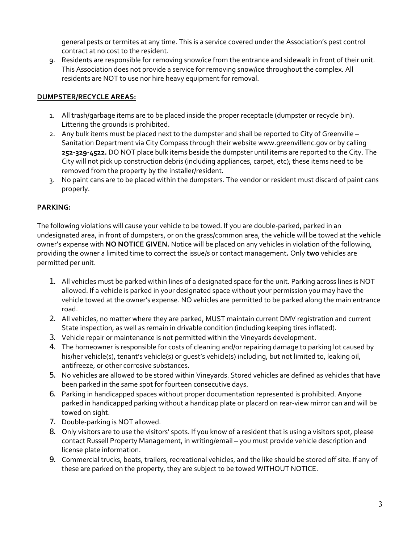general pests or termites at any time. This is a service covered under the Association's pest control contract at no cost to the resident.

9. Residents are responsible for removing snow/ice from the entrance and sidewalk in front of their unit. This Association does not provide a service for removing snow/ice throughout the complex. All residents are NOT to use nor hire heavy equipment for removal.

### **DUMPSTER/RECYCLE AREAS:**

- 1. All trash/garbage items are to be placed inside the proper receptacle (dumpster or recycle bin). Littering the grounds is prohibited.
- 2. Any bulk items must be placed next to the dumpster and shall be reported to City of Greenville Sanitation Department via City Compass through their website www.greenvillenc.gov or by calling **252‐329‐4522.** DO NOT place bulk items beside the dumpster until items are reported to the City. The City will not pick up construction debris (including appliances, carpet, etc); these items need to be removed from the property by the installer/resident.
- 3. No paint cans are to be placed within the dumpsters. The vendor or resident must discard of paint cans properly.

## **PARKING:**

The following violations will cause your vehicle to be towed. If you are double‐parked, parked in an undesignated area, in front of dumpsters, or on the grass/common area, the vehicle will be towed at the vehicle owner's expense with **NO NOTICE GIVEN.** Notice will be placed on any vehicles in violation of the following, providing the owner a limited time to correct the issue/s or contact management**.** Only **two** vehicles are permitted per unit.

- 1. All vehicles must be parked within lines of a designated space for the unit. Parking across lines is NOT allowed. If a vehicle is parked in your designated space without your permission you may have the vehicle towed at the owner's expense. NO vehicles are permitted to be parked along the main entrance road.
- 2. All vehicles, no matter where they are parked, MUST maintain current DMV registration and current State inspection, as well as remain in drivable condition (including keeping tires inflated).
- 3. Vehicle repair or maintenance is not permitted within the Vineyards development.
- 4. The homeowner is responsible for costs of cleaning and/or repairing damage to parking lot caused by his/her vehicle(s), tenant's vehicle(s) or guest's vehicle(s) including, but not limited to, leaking oil, antifreeze, or other corrosive substances.
- 5. No vehicles are allowed to be stored within Vineyards. Stored vehicles are defined as vehicles that have been parked in the same spot for fourteen consecutive days.
- 6. Parking in handicapped spaces without proper documentation represented is prohibited. Anyone parked in handicapped parking without a handicap plate or placard on rear-view mirror can and will be towed on sight.
- 7. Double‐parking is NOT allowed.
- 8. Only visitors are to use the visitors' spots. If you know of a resident that is using a visitors spot, please contact Russell Property Management, in writing/email – you must provide vehicle description and license plate information.
- 9. Commercial trucks, boats, trailers, recreational vehicles, and the like should be stored off site. If any of these are parked on the property, they are subject to be towed WITHOUT NOTICE.